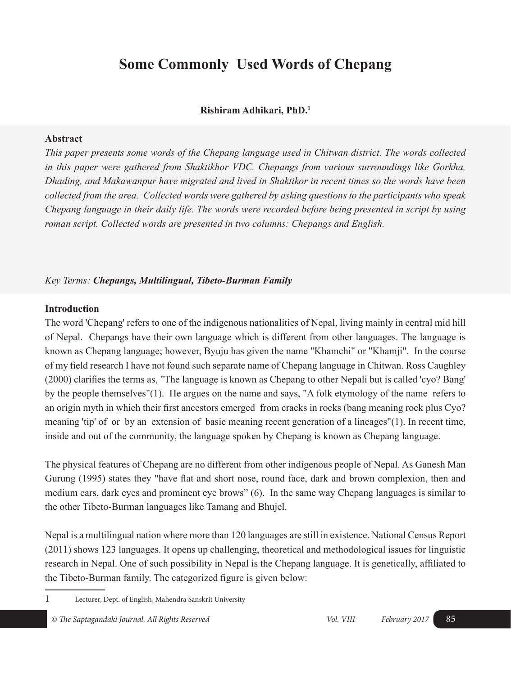# **Some Commonly Used Words of Chepang**

# **Rishiram Adhikari, PhD.1**

#### **Abstract**

*This paper presents some words of the Chepang language used in Chitwan district. The words collected in this paper were gathered from Shaktikhor VDC. Chepangs from various surroundings like Gorkha, Dhading, and Makawanpur have migrated and lived in Shaktikor in recent times so the words have been collected from the area. Collected words were gathered by asking questions to the participants who speak Chepang language in their daily life. The words were recorded before being presented in script by using roman script. Collected words are presented in two columns: Chepangs and English.* 

# *Key Terms: Chepangs, Multilingual, Tibeto-Burman Family*

# **Introduction**

The word 'Chepang' refers to one of the indigenous nationalities of Nepal, living mainly in central mid hill of Nepal. Chepangs have their own language which is different from other languages. The language is known as Chepang language; however, Byuju has given the name "Khamchi" or "Khamji". In the course of my field research I have not found such separate name of Chepang language in Chitwan. Ross Caughley (2000) clarifies the terms as, "The language is known as Chepang to other Nepali but is called 'cyo? Bang' by the people themselves"(1). He argues on the name and says, "A folk etymology of the name refers to an origin myth in which their first ancestors emerged from cracks in rocks (bang meaning rock plus Cyo? meaning 'tip' of or by an extension of basic meaning recent generation of a lineages"(1). In recent time, inside and out of the community, the language spoken by Chepang is known as Chepang language.

The physical features of Chepang are no different from other indigenous people of Nepal. As Ganesh Man Gurung (1995) states they "have flat and short nose, round face, dark and brown complexion, then and medium ears, dark eyes and prominent eye brows" (6). In the same way Chepang languages is similar to the other Tibeto-Burman languages like Tamang and Bhujel.

Nepal is a multilingual nation where more than 120 languages are still in existence. National Census Report (2011) shows 123 languages. It opens up challenging, theoretical and methodological issues for linguistic research in Nepal. One of such possibility in Nepal is the Chepang language. It is genetically, affiliated to the Tibeto-Burman family. The categorized figure is given below:

1 Lecturer, Dept. of English, Mahendra Sanskrit University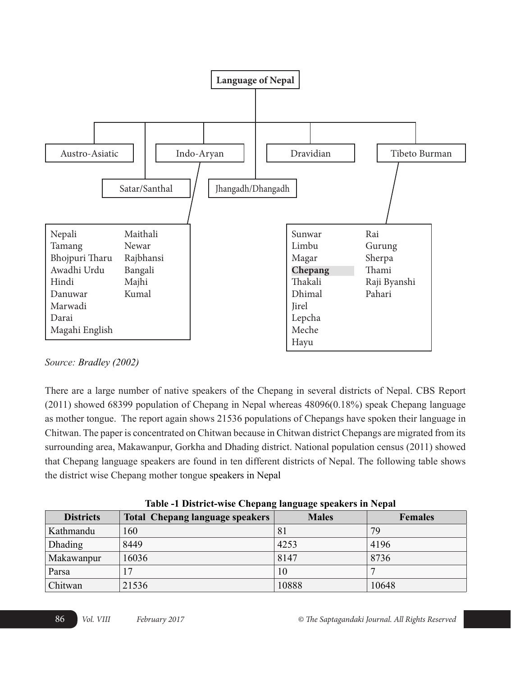

*Source: Bradley (2002)*

There are a large number of native speakers of the Chepang in several districts of Nepal. CBS Report (2011) showed 68399 population of Chepang in Nepal whereas 48096(0.18%) speak Chepang language as mother tongue. The report again shows 21536 populations of Chepangs have spoken their language in Chitwan. The paper is concentrated on Chitwan because in Chitwan district Chepangs are migrated from its surrounding area, Makawanpur, Gorkha and Dhading district. National population census (2011) showed that Chepang language speakers are found in ten different districts of Nepal. The following table shows the district wise Chepang mother tongue speakers in Nepal

|                  | Table -1 District-wise Chepang language speakers in repair |              |                |  |
|------------------|------------------------------------------------------------|--------------|----------------|--|
| <b>Districts</b> | Total Chepang language speakers                            | <b>Males</b> | <b>Females</b> |  |
| Kathmandu        | 160                                                        | 81           | 79             |  |
| <b>Dhading</b>   | 8449                                                       | 4253         | 4196           |  |
| Makawanpur       | 16036                                                      | 8147         | 8736           |  |
| Parsa            |                                                            | 10           |                |  |
| Chitwan          | 21536                                                      | 10888        | 10648          |  |

**Table -1 District-wise Chepang language speakers in Nepal**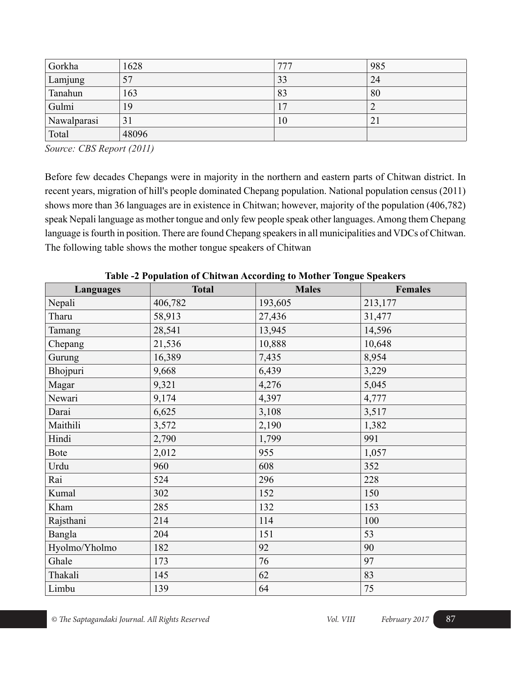| Gorkha      | 1628  | 777             | 985 |
|-------------|-------|-----------------|-----|
| Lamjung     | 57    | 33              | 24  |
| Tanahun     | 163   | 83              | 80  |
| Gulmi       | 19    | $\overline{17}$ | 2   |
| Nawalparasi | 31    | 10              | 21  |
| Total       | 48096 |                 |     |

*Source: CBS Report (2011)*

Before few decades Chepangs were in majority in the northern and eastern parts of Chitwan district. In recent years, migration of hill's people dominated Chepang population. National population census (2011) shows more than 36 languages are in existence in Chitwan; however, majority of the population (406,782) speak Nepali language as mother tongue and only few people speak other languages. Among them Chepang language is fourth in position. There are found Chepang speakers in all municipalities and VDCs of Chitwan. The following table shows the mother tongue speakers of Chitwan

| Languages     | <b>Total</b> | $-$<br><b>Males</b> | <b>Females</b> |
|---------------|--------------|---------------------|----------------|
| Nepali        | 406,782      | 193,605             | 213,177        |
| Tharu         | 58,913       | 27,436              | 31,477         |
| Tamang        | 28,541       | 13,945              | 14,596         |
| Chepang       | 21,536       | 10,888              | 10,648         |
| Gurung        | 16,389       | 7,435               | 8,954          |
| Bhojpuri      | 9,668        | 6,439               | 3,229          |
| Magar         | 9,321        | 4,276               | 5,045          |
| Newari        | 9,174        | 4,397               | 4,777          |
| Darai         | 6,625        | 3,108               | 3,517          |
| Maithili      | 3,572        | 2,190               | 1,382          |
| Hindi         | 2,790        | 1,799               | 991            |
| <b>Bote</b>   | 2,012        | 955                 | 1,057          |
| Urdu          | 960          | 608                 | 352            |
| Rai           | 524          | 296                 | 228            |
| Kumal         | 302          | 152                 | 150            |
| Kham          | 285          | 132                 | 153            |
| Rajsthani     | 214          | 114                 | 100            |
| Bangla        | 204          | 151                 | 53             |
| Hyolmo/Yholmo | 182          | 92                  | 90             |
| Ghale         | 173          | 76                  | 97             |
| Thakali       | 145          | 62                  | 83             |
| Limbu         | 139          | 64                  | 75             |

**Table -2 Population of Chitwan According to Mother Tongue Speakers**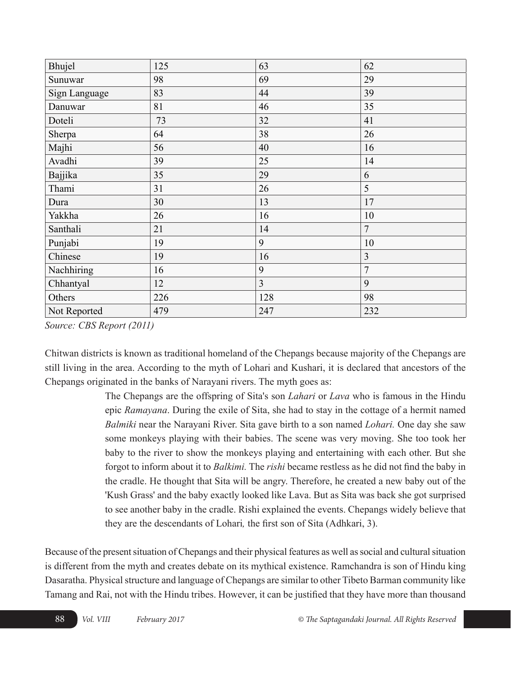| Bhujel        | 125 | 63  | 62             |
|---------------|-----|-----|----------------|
| Sunuwar       | 98  | 69  | 29             |
| Sign Language | 83  | 44  | 39             |
| Danuwar       | 81  | 46  | 35             |
| Doteli        | 73  | 32  | 41             |
| Sherpa        | 64  | 38  | 26             |
| Majhi         | 56  | 40  | 16             |
| Avadhi        | 39  | 25  | 14             |
| Bajjika       | 35  | 29  | 6              |
| Thami         | 31  | 26  | 5              |
| Dura          | 30  | 13  | 17             |
| Yakkha        | 26  | 16  | 10             |
| Santhali      | 21  | 14  | 7              |
| Punjabi       | 19  | 9   | 10             |
| Chinese       | 19  | 16  | $\overline{3}$ |
| Nachhiring    | 16  | 9   | $\overline{7}$ |
| Chhantyal     | 12  | 3   | 9              |
| Others        | 226 | 128 | 98             |
| Not Reported  | 479 | 247 | 232            |

*Source: CBS Report (2011)*

Chitwan districts is known as traditional homeland of the Chepangs because majority of the Chepangs are still living in the area. According to the myth of Lohari and Kushari, it is declared that ancestors of the Chepangs originated in the banks of Narayani rivers. The myth goes as:

> The Chepangs are the offspring of Sita's son *Lahari* or *Lava* who is famous in the Hindu epic *Ramayana*. During the exile of Sita, she had to stay in the cottage of a hermit named *Balmiki* near the Narayani River. Sita gave birth to a son named *Lohari.* One day she saw some monkeys playing with their babies. The scene was very moving. She too took her baby to the river to show the monkeys playing and entertaining with each other. But she forgot to inform about it to *Balkimi.* The *rishi* became restless as he did not find the baby in the cradle. He thought that Sita will be angry. Therefore, he created a new baby out of the 'Kush Grass' and the baby exactly looked like Lava. But as Sita was back she got surprised to see another baby in the cradle. Rishi explained the events. Chepangs widely believe that they are the descendants of Lohari*,* the first son of Sita (Adhkari, 3).

Because of the present situation of Chepangs and their physical features as well as social and cultural situation is different from the myth and creates debate on its mythical existence. Ramchandra is son of Hindu king Dasaratha. Physical structure and language of Chepangs are similar to other Tibeto Barman community like Tamang and Rai, not with the Hindu tribes. However, it can be justified that they have more than thousand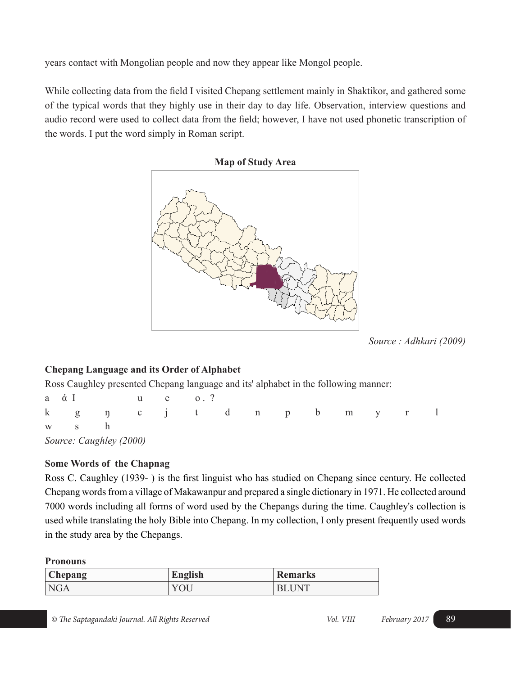years contact with Mongolian people and now they appear like Mongol people.

While collecting data from the field I visited Chepang settlement mainly in Shaktikor, and gathered some of the typical words that they highly use in their day to day life. Observation, interview questions and audio record were used to collect data from the field; however, I have not used phonetic transcription of the words. I put the word simply in Roman script.



*Source : Adhkari (2009)*

# **Chepang Language and its Order of Alphabet**

Ross Caughley presented Chepang language and its' alphabet in the following manner:

| $a \alpha I$              |  | u e 0.' |  |  |  |  |
|---------------------------|--|---------|--|--|--|--|
| k g ŋ c j t d n p b m y r |  |         |  |  |  |  |
| w s h                     |  |         |  |  |  |  |
| Source: Caughley (2000)   |  |         |  |  |  |  |

# **Some Words of the Chapnag**

Ross C. Caughley (1939- ) is the first linguist who has studied on Chepang since century. He collected Chepang words from a village of Makawanpur and prepared a single dictionary in 1971. He collected around 7000 words including all forms of word used by the Chepangs during the time. Caughley's collection is used while translating the holy Bible into Chepang. In my collection, I only present frequently used words in the study area by the Chepangs.

# **Pronouns**

| Chepang | English | <b>Remarks</b> |
|---------|---------|----------------|
| NGA     | UU      | . $INT$        |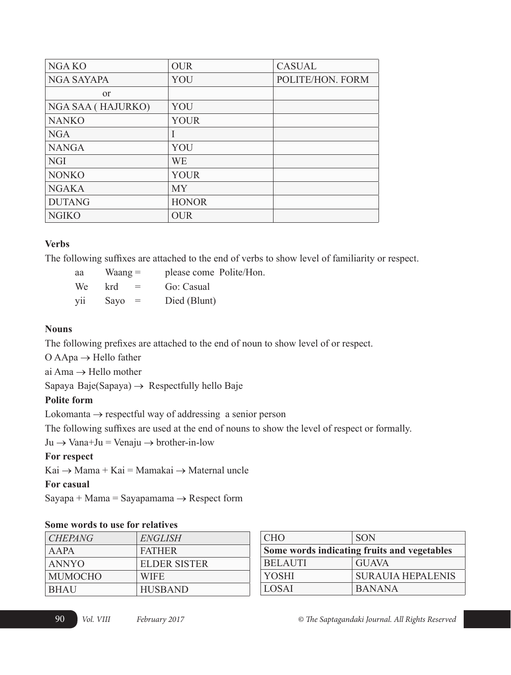| NGA KO            | <b>OUR</b>   | <b>CASUAL</b>    |
|-------------------|--------------|------------------|
| <b>NGA SAYAPA</b> | YOU          | POLITE/HON. FORM |
| <sub>or</sub>     |              |                  |
| NGA SAA (HAJURKO) | YOU          |                  |
| <b>NANKO</b>      | <b>YOUR</b>  |                  |
| <b>NGA</b>        |              |                  |
| <b>NANGA</b>      | YOU          |                  |
| <b>NGI</b>        | WE           |                  |
| <b>NONKO</b>      | <b>YOUR</b>  |                  |
| <b>NGAKA</b>      | <b>MY</b>    |                  |
| <b>DUTANG</b>     | <b>HONOR</b> |                  |
| <b>NGIKO</b>      | <b>OUR</b>   |                  |

# **Verbs**

The following suffixes are attached to the end of verbs to show level of familiarity or respect.

| aa  | $Waang =$                         | please come Polite/Hon. |
|-----|-----------------------------------|-------------------------|
| We  | krd.<br>$\mathbf{r} = \mathbf{r}$ | Go: Casual              |
| yii | Sayo<br>$=$                       | Died (Blunt)            |

#### **Nouns**

The following prefixes are attached to the end of noun to show level of or respect.

 $O$  AApa  $\rightarrow$  Hello father

ai Ama → Hello mother

Sapaya Baje(Sapaya)  $\rightarrow$  Respectfully hello Baje

# **Polite form**

Lokomanta  $\rightarrow$  respectful way of addressing a senior person

The following suffixes are used at the end of nouns to show the level of respect or formally.

 $Ju \rightarrow Vana+Ju = Venaju \rightarrow brother-in-low$ 

# **For respect**

 $Kai \rightarrow Mama + Kai = Mama kai \rightarrow Maternal$  uncle

# **For casual**

Sayapa + Mama = Sayapamama  $\rightarrow$  Respect form

# **Some words to use for relatives**

| <i>CHEPANG</i> | ENGLISH             |
|----------------|---------------------|
| A A PA         | <b>FATHER</b>       |
| <b>ANNYO</b>   | <b>ELDER SISTER</b> |
| <b>MUMOCHO</b> | <b>WIFE</b>         |
| <b>BHAU</b>    | <b>HUSBAND</b>      |

| <b>CHO</b>     | <b>SON</b>                                  |
|----------------|---------------------------------------------|
|                | Some words indicating fruits and vegetables |
| <b>BELAUTI</b> | <b>GUAVA</b>                                |
| <b>YOSHI</b>   | <b>SURAUIA HEPALENIS</b>                    |
| <b>LOSAI</b>   | <b>BANANA</b>                               |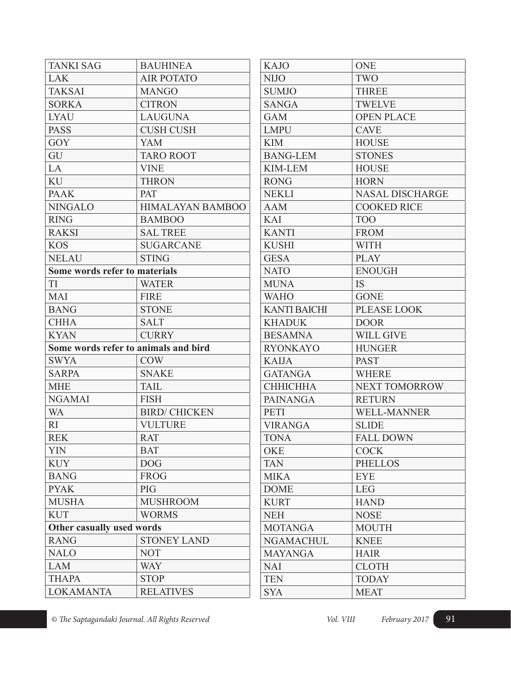| <b>TANKI SAG</b>              | <b>BAUHINEA</b>                      | <b>KAJO</b>      |
|-------------------------------|--------------------------------------|------------------|
| <b>LAK</b>                    | <b>AIR POTATO</b>                    | <b>NIJO</b>      |
| <b>TAKSAI</b>                 | <b>MANGO</b>                         | <b>SUMJO</b>     |
| <b>SORKA</b>                  | <b>CITRON</b>                        | <b>SANGA</b>     |
| <b>LYAU</b>                   | <b>LAUGUNA</b>                       | <b>GAM</b>       |
| <b>PASS</b>                   | <b>CUSH CUSH</b>                     | <b>LMPU</b>      |
| GOY                           | <b>YAM</b>                           | <b>KIM</b>       |
| GU                            | <b>TARO ROOT</b>                     | <b>BANG-LEN</b>  |
| LA                            | <b>VINE</b>                          | KIM-LEM          |
| KU                            | <b>THRON</b>                         | <b>RONG</b>      |
| <b>PAAK</b>                   | <b>PAT</b>                           | <b>NEKLI</b>     |
| <b>NINGALO</b>                | <b>HIMALAYAN BAMBOO</b>              | <b>AAM</b>       |
| <b>RING</b>                   | <b>BAMBOO</b>                        | KAI              |
| <b>RAKSI</b>                  | <b>SAL TREE</b>                      | <b>KANTI</b>     |
| <b>KOS</b>                    | <b>SUGARCANE</b>                     | <b>KUSHI</b>     |
| <b>NELAU</b>                  | <b>STING</b>                         | <b>GESA</b>      |
| Some words refer to materials |                                      | <b>NATO</b>      |
| <b>TI</b>                     | <b>WATER</b>                         | <b>MUNA</b>      |
| <b>MAI</b>                    | <b>FIRE</b>                          | <b>WAHO</b>      |
| <b>BANG</b>                   | <b>STONE</b>                         | <b>KANTI BAI</b> |
| <b>CHHA</b>                   | <b>SALT</b>                          | <b>KHADUK</b>    |
| <b>KYAN</b>                   | <b>CURRY</b>                         | <b>BESAMNA</b>   |
|                               | Some words refer to animals and bird | <b>RYONKAY</b>   |
| <b>SWYA</b>                   | <b>COW</b>                           | <b>KAIJA</b>     |
| <b>SARPA</b>                  | <b>SNAKE</b>                         | <b>GATANGA</b>   |
| <b>MHE</b>                    | <b>TAIL</b>                          | <b>CHHICHH</b>   |
| <b>NGAMAI</b>                 | <b>FISH</b>                          | <b>PAINANG</b>   |
| <b>WA</b>                     | <b>BIRD/ CHICKEN</b>                 | <b>PETI</b>      |
| RI                            | <b>VULTURE</b>                       | <b>VIRANGA</b>   |
| <b>REK</b>                    | <b>RAT</b>                           | <b>TONA</b>      |
| <b>YIN</b>                    | <b>BAT</b>                           | <b>OKE</b>       |
| <b>KUY</b>                    | <b>DOG</b>                           | <b>TAN</b>       |
| <b>BANG</b>                   | <b>FROG</b>                          | <b>MIKA</b>      |
| <b>PYAK</b>                   | PIG                                  | <b>DOME</b>      |
| <b>MUSHA</b>                  | <b>MUSHROOM</b>                      | <b>KURT</b>      |
| <b>KUT</b>                    | <b>WORMS</b>                         | <b>NEH</b>       |
| Other casually used words     |                                      | <b>MOTANGA</b>   |
| <b>RANG</b>                   | <b>STONEY LAND</b>                   | <b>NGAMACI</b>   |
| <b>NALO</b>                   | <b>NOT</b>                           | <b>MAYANGA</b>   |
| <b>LAM</b>                    | <b>WAY</b>                           | <b>NAI</b>       |
| <b>THAPA</b>                  | <b>STOP</b>                          | <b>TEN</b>       |
| <b>LOKAMANTA</b>              | <b>RELATIVES</b>                     | <b>SYA</b>       |

| <b>KAJO</b>         | <b>ONE</b>             |
|---------------------|------------------------|
| <b>NIJO</b>         | TWO                    |
| <b>SUMJO</b>        | <b>THREE</b>           |
| <b>SANGA</b>        | <b>TWELVE</b>          |
| <b>GAM</b>          | <b>OPEN PLACE</b>      |
| <b>LMPU</b>         | <b>CAVE</b>            |
| <b>KIM</b>          | <b>HOUSE</b>           |
| <b>BANG-LEM</b>     | <b>STONES</b>          |
| <b>KIM-LEM</b>      | <b>HOUSE</b>           |
| <b>RONG</b>         | <b>HORN</b>            |
| <b>NEKLI</b>        | <b>NASAL DISCHARGE</b> |
| <b>AAM</b>          | <b>COOKED RICE</b>     |
| KAI                 | <b>TOO</b>             |
| <b>KANTI</b>        | <b>FROM</b>            |
| <b>KUSHI</b>        | <b>WITH</b>            |
| <b>GESA</b>         | <b>PLAY</b>            |
| <b>NATO</b>         | <b>ENOUGH</b>          |
| <b>MUNA</b>         | <b>IS</b>              |
| <b>WAHO</b>         | <b>GONE</b>            |
| <b>KANTI BAICHI</b> | <b>PLEASE LOOK</b>     |
| <b>KHADUK</b>       | <b>DOOR</b>            |
| <b>BESAMNA</b>      | <b>WILL GIVE</b>       |
| <b>RYONKAYO</b>     | <b>HUNGER</b>          |
| <b>KAIJA</b>        | <b>PAST</b>            |
| <b>GATANGA</b>      | <b>WHERE</b>           |
| <b>СННІСННА</b>     | <b>NEXT TOMORROW</b>   |
| <b>PAINANGA</b>     | <b>RETURN</b>          |
| <b>PETI</b>         | <b>WELL-MANNER</b>     |
| <b>VIRANGA</b>      | <b>SLIDE</b>           |
| <b>TONA</b>         | <b>FALL DOWN</b>       |
| <b>OKE</b>          | <b>COCK</b>            |
| <b>TAN</b>          | <b>PHELLOS</b>         |
| <b>MIKA</b>         | <b>EYE</b>             |
| <b>DOME</b>         | <b>LEG</b>             |
| <b>KURT</b>         | <b>HAND</b>            |
| <b>NEH</b>          | <b>NOSE</b>            |
| <b>MOTANGA</b>      | <b>MOUTH</b>           |
| <b>NGAMACHUL</b>    | <b>KNEE</b>            |
| <b>MAYANGA</b>      | <b>HAIR</b>            |
| <b>NAI</b>          | <b>CLOTH</b>           |
| <b>TEN</b>          | <b>TODAY</b>           |
| <b>SYA</b>          | <b>MEAT</b>            |
|                     |                        |